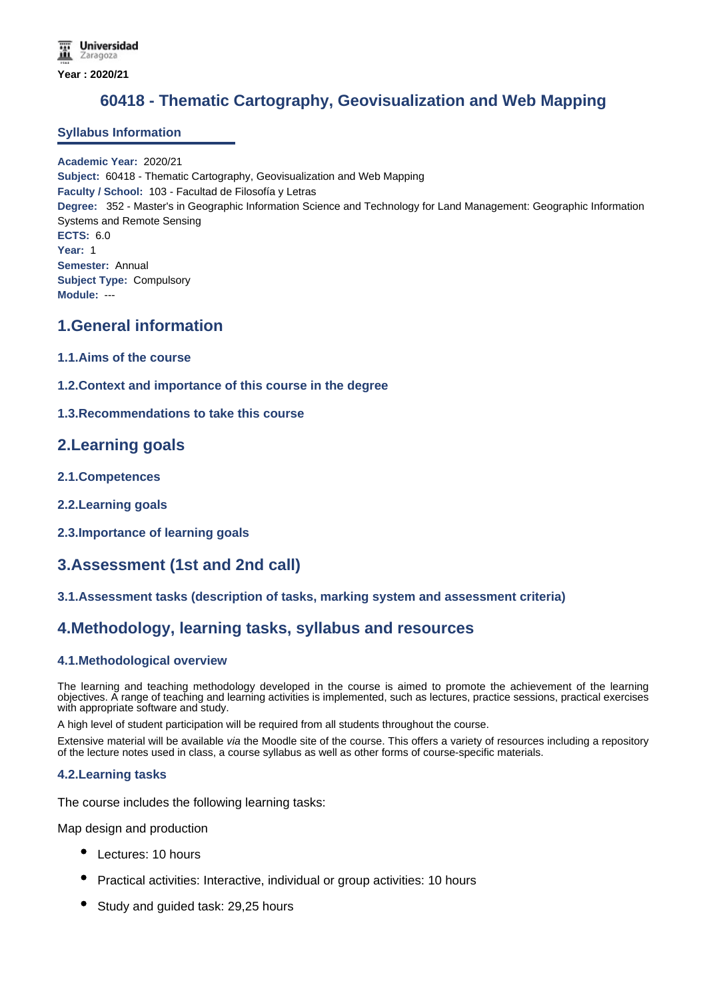# **60418 - Thematic Cartography, Geovisualization and Web Mapping**

### **Syllabus Information**

**Academic Year:** 2020/21 **Subject:** 60418 - Thematic Cartography, Geovisualization and Web Mapping **Faculty / School:** 103 - Facultad de Filosofía y Letras **Degree:** 352 - Master's in Geographic Information Science and Technology for Land Management: Geographic Information Systems and Remote Sensing **ECTS:** 6.0 **Year:** 1 **Semester:** Annual **Subject Type:** Compulsory **Module:** ---

### **1.General information**

- **1.1.Aims of the course**
- **1.2.Context and importance of this course in the degree**

### **1.3.Recommendations to take this course**

### **2.Learning goals**

- **2.1.Competences**
- **2.2.Learning goals**
- **2.3.Importance of learning goals**

## **3.Assessment (1st and 2nd call)**

### **3.1.Assessment tasks (description of tasks, marking system and assessment criteria)**

## **4.Methodology, learning tasks, syllabus and resources**

### **4.1.Methodological overview**

The learning and teaching methodology developed in the course is aimed to promote the achievement of the learning objectives. A range of teaching and learning activities is implemented, such as lectures, practice sessions, practical exercises with appropriate software and study.

A high level of student participation will be required from all students throughout the course.

Extensive material will be available *via* the Moodle site of the course. This offers a variety of resources including a repository of the lecture notes used in class, a course syllabus as well as other forms of course-specific materials.

### **4.2.Learning tasks**

The course includes the following learning tasks:

Map design and production

- Lectures: 10 hours
- Practical activities: Interactive, individual or group activities: 10 hours
- Study and guided task: 29,25 hours